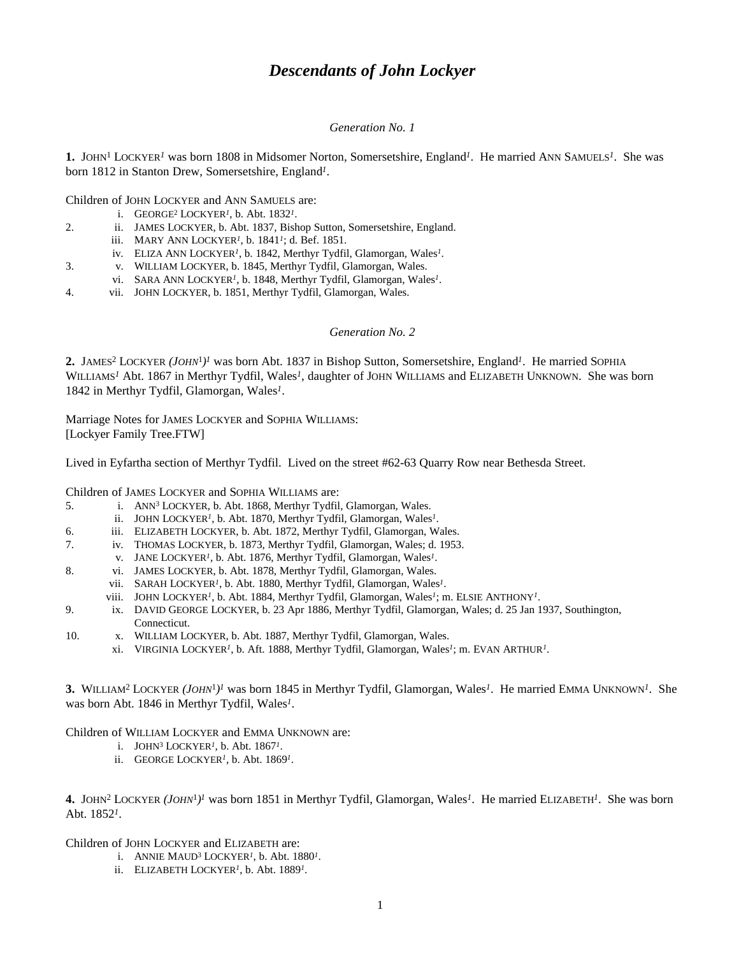# *Descendants of John Lockyer*

#### *Generation No. 1*

1. JOHN<sup>1</sup> LOCKYER<sup>1</sup> was born 1808 in Midsomer Norton, Somersetshire, England<sup>1</sup>. He married ANN SAMUELS<sup>1</sup>. She was born 1812 in Stanton Drew, Somersetshire, England*<sup>1</sup>* .

Children of JOHN LOCKYER and ANN SAMUELS are:

- i. GEORGE<sup>2</sup> LOCKYER<sup>1</sup>, b. Abt. 1832<sup>1</sup>.
- 2. ii. JAMES LOCKYER, b. Abt. 1837, Bishop Sutton, Somersetshire, England.
	- iii. MARY ANN LOCKYER*<sup>1</sup>* , b. 1841*<sup>1</sup>* ; d. Bef. 1851.
	- iv. ELIZA ANN LOCKYER<sup>1</sup>, b. 1842, Merthyr Tydfil, Glamorgan, Wales<sup>1</sup>.
- 3. v. WILLIAM LOCKYER, b. 1845, Merthyr Tydfil, Glamorgan, Wales.
- vi. SARA ANN LOCKYER<sup>1</sup>, b. 1848, Merthyr Tydfil, Glamorgan, Wales<sup>1</sup>.
- 4. vii. JOHN LOCKYER, b. 1851, Merthyr Tydfil, Glamorgan, Wales.

### *Generation No. 2*

2. JAMES<sup>2</sup> LOCKYER (*JOHN*<sup>1</sup>)<sup>*I*</sup> was born Abt. 1837 in Bishop Sutton, Somersetshire, England<sup>*I*</sup>. He married SOPHIA WILLIAMS<sup>1</sup> Abt. 1867 in Merthyr Tydfil, Wales<sup>1</sup>, daughter of JOHN WILLIAMS and ELIZABETH UNKNOWN. She was born 1842 in Merthyr Tydfil, Glamorgan, Wales*<sup>1</sup>* .

Marriage Notes for JAMES LOCKYER and SOPHIA WILLIAMS: [Lockyer Family Tree.FTW]

Lived in Eyfartha section of Merthyr Tydfil. Lived on the street #62-63 Quarry Row near Bethesda Street.

Children of JAMES LOCKYER and SOPHIA WILLIAMS are:

- 5. i. ANN<sup>3</sup> LOCKYER, b. Abt. 1868, Merthyr Tydfil, Glamorgan, Wales.
- ii. JOHN LOCKYER<sup>1</sup>, b. Abt. 1870, Merthyr Tydfil, Glamorgan, Wales<sup>1</sup>.
- 6. iii. ELIZABETH LOCKYER, b. Abt. 1872, Merthyr Tydfil, Glamorgan, Wales.
- 7. iv. THOMAS LOCKYER, b. 1873, Merthyr Tydfil, Glamorgan, Wales; d. 1953.
- v. JANE LOCKYER<sup>1</sup>, b. Abt. 1876, Merthyr Tydfil, Glamorgan, Wales<sup>1</sup>.
- 8. vi. JAMES LOCKYER, b. Abt. 1878, Merthyr Tydfil, Glamorgan, Wales.
	- vii. SARAH LOCKYER<sup>1</sup>, b. Abt. 1880, Merthyr Tydfil, Glamorgan, Wales<sup>1</sup>.
		- viii. JOHN LOCKYER<sup>1</sup>, b. Abt. 1884, Merthyr Tydfil, Glamorgan, Wales<sup>1</sup>; m. ELSIE ANTHONY<sup>1</sup>.
- 9. ix. DAVID GEORGE LOCKYER, b. 23 Apr 1886, Merthyr Tydfil, Glamorgan, Wales; d. 25 Jan 1937, Southington, Connecticut.
- 10. x. WILLIAM LOCKYER, b. Abt. 1887, Merthyr Tydfil, Glamorgan, Wales.
	- xi. VIRGINIA LOCKYER*<sup>1</sup>* , b. Aft. 1888, Merthyr Tydfil, Glamorgan, Wales*<sup>1</sup>* ; m. EVAN ARTHUR*<sup>1</sup>* .

3. WILLIAM<sup>2</sup> LOCKYER (*JOHN*<sup>1</sup>)<sup>*I*</sup> was born 1845 in Merthyr Tydfil, Glamorgan, Wales<sup>*I*</sup>. He married EMMA UNKNOWN<sup>*I*</sup>. She was born Abt. 1846 in Merthyr Tydfil, Wales*<sup>1</sup>* .

Children of WILLIAM LOCKYER and EMMA UNKNOWN are:

- i. JOHN<sup>3</sup> LOCKYER*<sup>1</sup>* , b. Abt. 1867*<sup>1</sup>* .
- ii. GEORGE LOCKYER<sup>1</sup>, b. Abt. 1869<sup>1</sup>.

**4.** JOHN<sup>2</sup> LOCKYER *(JOHN*<sup>1</sup> *) 1* was born 1851 in Merthyr Tydfil, Glamorgan, Wales*<sup>1</sup>* . He married ELIZABETH*<sup>1</sup>* . She was born Abt. 1852*<sup>1</sup>* .

Children of JOHN LOCKYER and ELIZABETH are:

- i. ANNIE  $MAUD^3$  LOCKYER<sup>1</sup>, b. Abt. 1880<sup>1</sup>.
- ii. ELIZABETH LOCKYER<sup>1</sup>, b. Abt. 1889<sup>1</sup>.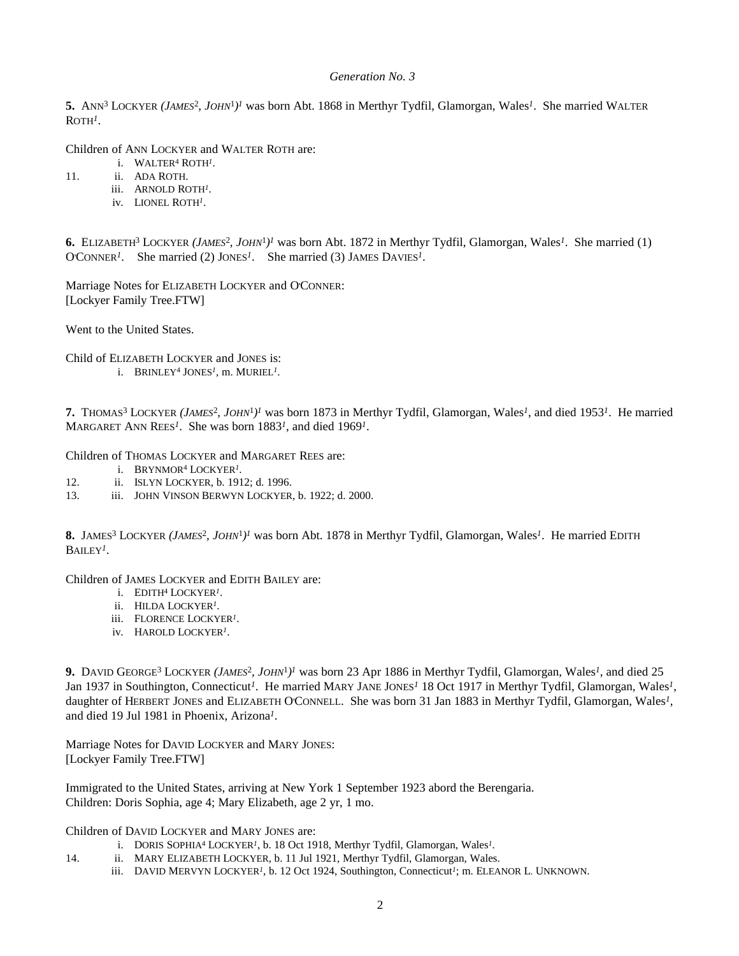### *Generation No. 3*

5. ANN<sup>3</sup> LOCKYER (*JAMES<sup>2</sup>, JOHN*<sup>1</sup>)<sup>*I*</sup> was born Abt. 1868 in Merthyr Tydfil, Glamorgan, Wales<sup>*I*</sup>. She married WALTER ROTH*<sup>1</sup>* .

Children of ANN LOCKYER and WALTER ROTH are:

- i. WALTER<sup>4</sup> ROTH<sup>1</sup>.
- 11. ii. ADA ROTH.
	- iii. ARNOLD ROTH*<sup>1</sup>* .
	- iv. LIONEL ROTH*<sup>1</sup>* .

**6.** ELIZABETH<sup>3</sup> LOCKYER *(JAMES*<sup>2</sup> *, JOHN*<sup>1</sup> *) 1* was born Abt. 1872 in Merthyr Tydfil, Glamorgan, Wales*<sup>1</sup>* . She married (1) O'CONNER<sup>1</sup>. She married (2) JONES<sup>1</sup>. She married (3) JAMES DAVIES<sup>1</sup>.

Marriage Notes for ELIZABETH LOCKYER and O'CONNER: [Lockyer Family Tree.FTW]

Went to the United States.

Child of ELIZABETH LOCKYER and JONES is:

i. BRINLEY<sup>4</sup> JONES<sup>1</sup>, m. MURIEL<sup>1</sup>.

**7.** THOMAS<sup>3</sup> LOCKYER (*JAMES<sup>2</sup>*, *JOHN*<sup>1</sup>)<sup>*I*</sup> was born 1873 in Merthyr Tydfil, Glamorgan, Wales<sup>*I*</sup>, and died 1953<sup>*I*</sup>. He married MARGARET ANN REES<sup>1</sup>. She was born 1883<sup>1</sup>, and died 1969<sup>1</sup>.

Children of THOMAS LOCKYER and MARGARET REES are:

- i. BRYNMOR<sup>4</sup> LOCKYER*<sup>1</sup>* .
- 12. ii. ISLYN LOCKYER, b. 1912; d. 1996.
- 13. iii. JOHN VINSON BERWYN LOCKYER, b. 1922; d. 2000.

8. JAMES<sup>3</sup> LOCKYER (*JAMES<sup>2</sup>, JOHN<sup>1</sup>)<sup>1</sup>* was born Abt. 1878 in Merthyr Tydfil, Glamorgan, Wales<sup>*1*</sup>. He married EDITH BAILEY*<sup>1</sup>* .

Children of JAMES LOCKYER and EDITH BAILEY are:

- i. EDITH<sup>4</sup> LOCKYER*<sup>1</sup>* .
- ii. HILDA LOCKYER*<sup>1</sup>* .
- iii. FLORENCE LOCKYER*<sup>1</sup>* .
- iv. HAROLD LOCKYER*<sup>1</sup>* .

9. DAVID GEORGE<sup>3</sup> LOCKYER (*JAMES<sup>2</sup>, JOHN<sup>1</sup>*)<sup>*I*</sup> was born 23 Apr 1886 in Merthyr Tydfil, Glamorgan, Wales<sup>*1*</sup>, and died 25 Jan 1937 in Southington, Connecticut<sup>1</sup>. He married MARY JANE JONES<sup>1</sup> 18 Oct 1917 in Merthyr Tydfil, Glamorgan, Wales<sup>1</sup>, daughter of HERBERT JONES and ELIZABETH O'CONNELL. She was born 31 Jan 1883 in Merthyr Tydfil, Glamorgan, Wales*<sup>1</sup>* , and died 19 Jul 1981 in Phoenix, Arizona*<sup>1</sup>* .

Marriage Notes for DAVID LOCKYER and MARY JONES: [Lockyer Family Tree.FTW]

Immigrated to the United States, arriving at New York 1 September 1923 abord the Berengaria. Children: Doris Sophia, age 4; Mary Elizabeth, age 2 yr, 1 mo.

Children of DAVID LOCKYER and MARY JONES are:

- i. DORIS SOPHIA<sup>4</sup> LOCKYER<sup>1</sup>, b. 18 Oct 1918, Merthyr Tydfil, Glamorgan, Wales<sup>1</sup>.
- 14. ii. MARY ELIZABETH LOCKYER, b. 11 Jul 1921, Merthyr Tydfil, Glamorgan, Wales.
	- iii. DAVID MERVYN LOCKYER<sup>*I*</sup>, b. 12 Oct 1924, Southington, Connecticut<sup>*I*</sup>; m. ELEANOR L. UNKNOWN.